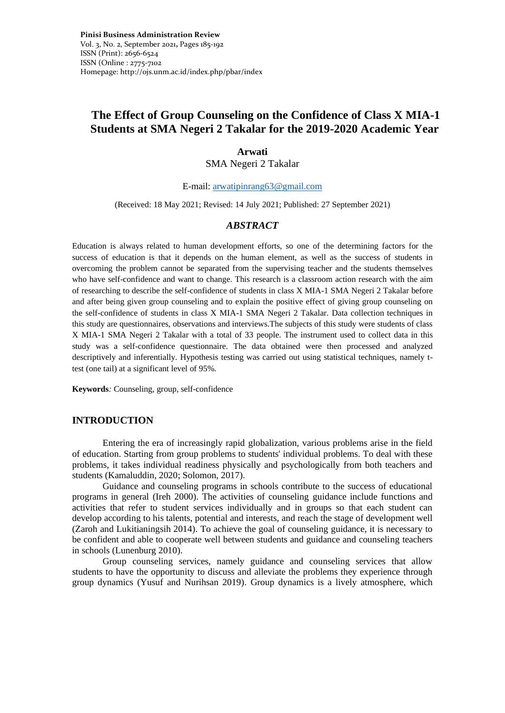# **The Effect of Group Counseling on the Confidence of Class X MIA-1 Students at SMA Negeri 2 Takalar for the 2019-2020 Academic Year**

#### **Arwati**

SMA Negeri 2 Takalar

E-mail: [arwatipinrang63@gmail.com](mailto:arwatipinrang63@gmail.com)

(Received: 18 May 2021; Revised: 14 July 2021; Published: 27 September 2021)

# *ABSTRACT*

Education is always related to human development efforts, so one of the determining factors for the success of education is that it depends on the human element, as well as the success of students in overcoming the problem cannot be separated from the supervising teacher and the students themselves who have self-confidence and want to change. This research is a classroom action research with the aim of researching to describe the self-confidence of students in class X MIA-1 SMA Negeri 2 Takalar before and after being given group counseling and to explain the positive effect of giving group counseling on the self-confidence of students in class X MIA-1 SMA Negeri 2 Takalar. Data collection techniques in this study are questionnaires, observations and interviews.The subjects of this study were students of class X MIA-1 SMA Negeri 2 Takalar with a total of 33 people. The instrument used to collect data in this study was a self-confidence questionnaire. The data obtained were then processed and analyzed descriptively and inferentially. Hypothesis testing was carried out using statistical techniques, namely ttest (one tail) at a significant level of 95%.

**Keywords***:* Counseling, group, self-confidence

#### **INTRODUCTION**

Entering the era of increasingly rapid globalization, various problems arise in the field of education. Starting from group problems to students' individual problems. To deal with these problems, it takes individual readiness physically and psychologically from both teachers and students (Kamaluddin, 2020; Solomon, 2017).

Guidance and counseling programs in schools contribute to the success of educational programs in general (Ireh 2000). The activities of counseling guidance include functions and activities that refer to student services individually and in groups so that each student can develop according to his talents, potential and interests, and reach the stage of development well (Zaroh and Lukitianingsih 2014). To achieve the goal of counseling guidance, it is necessary to be confident and able to cooperate well between students and guidance and counseling teachers in schools (Lunenburg 2010).

Group counseling services, namely guidance and counseling services that allow students to have the opportunity to discuss and alleviate the problems they experience through group dynamics (Yusuf and Nurihsan 2019). Group dynamics is a lively atmosphere, which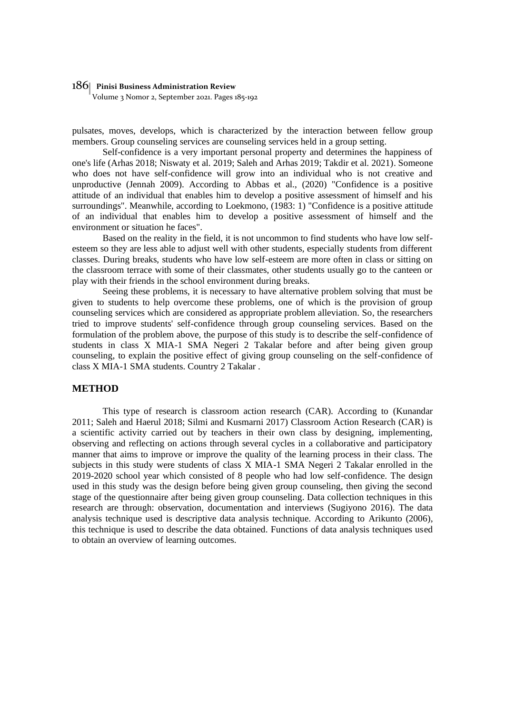Volume 3 Nomor 2, September 2021. Pages 185-192

pulsates, moves, develops, which is characterized by the interaction between fellow group members. Group counseling services are counseling services held in a group setting.

Self-confidence is a very important personal property and determines the happiness of one's life (Arhas 2018; Niswaty et al. 2019; Saleh and Arhas 2019; Takdir et al. 2021). Someone who does not have self-confidence will grow into an individual who is not creative and unproductive (Jennah 2009). According to Abbas et al., (2020) "Confidence is a positive attitude of an individual that enables him to develop a positive assessment of himself and his surroundings". Meanwhile, according to Loekmono, (1983: 1) "Confidence is a positive attitude of an individual that enables him to develop a positive assessment of himself and the environment or situation he faces".

Based on the reality in the field, it is not uncommon to find students who have low selfesteem so they are less able to adjust well with other students, especially students from different classes. During breaks, students who have low self-esteem are more often in class or sitting on the classroom terrace with some of their classmates, other students usually go to the canteen or play with their friends in the school environment during breaks.

Seeing these problems, it is necessary to have alternative problem solving that must be given to students to help overcome these problems, one of which is the provision of group counseling services which are considered as appropriate problem alleviation. So, the researchers tried to improve students' self-confidence through group counseling services. Based on the formulation of the problem above, the purpose of this study is to describe the self-confidence of students in class X MIA-1 SMA Negeri 2 Takalar before and after being given group counseling, to explain the positive effect of giving group counseling on the self-confidence of class X MIA-1 SMA students. Country 2 Takalar .

## **METHOD**

This type of research is classroom action research (CAR). According to (Kunandar 2011; Saleh and Haerul 2018; Silmi and Kusmarni 2017) Classroom Action Research (CAR) is a scientific activity carried out by teachers in their own class by designing, implementing, observing and reflecting on actions through several cycles in a collaborative and participatory manner that aims to improve or improve the quality of the learning process in their class. The subjects in this study were students of class X MIA-1 SMA Negeri 2 Takalar enrolled in the 2019-2020 school year which consisted of 8 people who had low self-confidence. The design used in this study was the design before being given group counseling, then giving the second stage of the questionnaire after being given group counseling. Data collection techniques in this research are through: observation, documentation and interviews (Sugiyono 2016). The data analysis technique used is descriptive data analysis technique. According to Arikunto (2006), this technique is used to describe the data obtained. Functions of data analysis techniques used to obtain an overview of learning outcomes.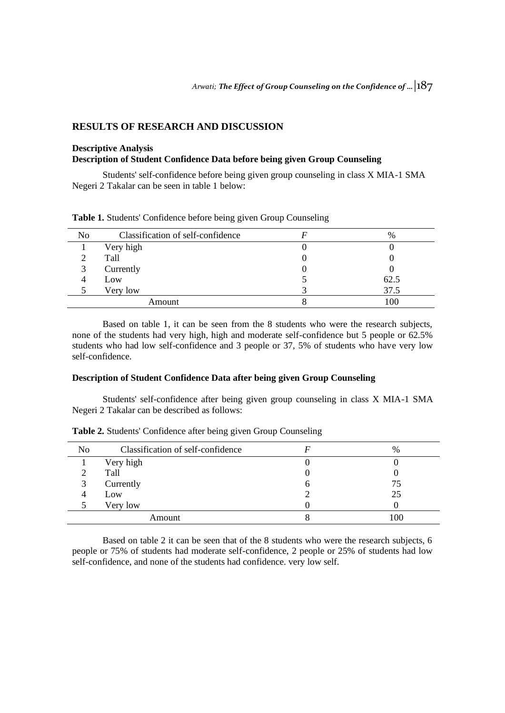# **RESULTS OF RESEARCH AND DISCUSSION**

# **Descriptive Analysis Description of Student Confidence Data before being given Group Counseling**

Students' self-confidence before being given group counseling in class X MIA-1 SMA Negeri 2 Takalar can be seen in table 1 below:

| N <sub>0</sub> | Classification of self-confidence | $\%$ |
|----------------|-----------------------------------|------|
|                | Very high                         |      |
|                | Tall                              |      |
|                | Currently                         |      |
|                | Low                               | 62.5 |
|                | Very low                          | 37.5 |
| Amount         |                                   | 100  |

**Table 1.** Students' Confidence before being given Group Counseling

Based on table 1, it can be seen from the 8 students who were the research subjects, none of the students had very high, high and moderate self-confidence but 5 people or 62.5% students who had low self-confidence and 3 people or 37, 5% of students who have very low self-confidence.

## **Description of Student Confidence Data after being given Group Counseling**

Students' self-confidence after being given group counseling in class X MIA-1 SMA Negeri 2 Takalar can be described as follows:

| No     | Classification of self-confidence |   | $\%$ |
|--------|-----------------------------------|---|------|
|        | Very high                         | U |      |
|        | Tall                              | U |      |
|        | Currently                         | O | 75   |
|        | Low                               |   | 25   |
|        | Very low                          |   |      |
| Amount |                                   | Ω | 100  |

**Table 2.** Students' Confidence after being given Group Counseling

Based on table 2 it can be seen that of the 8 students who were the research subjects, 6 people or 75% of students had moderate self-confidence, 2 people or 25% of students had low self-confidence, and none of the students had confidence. very low self.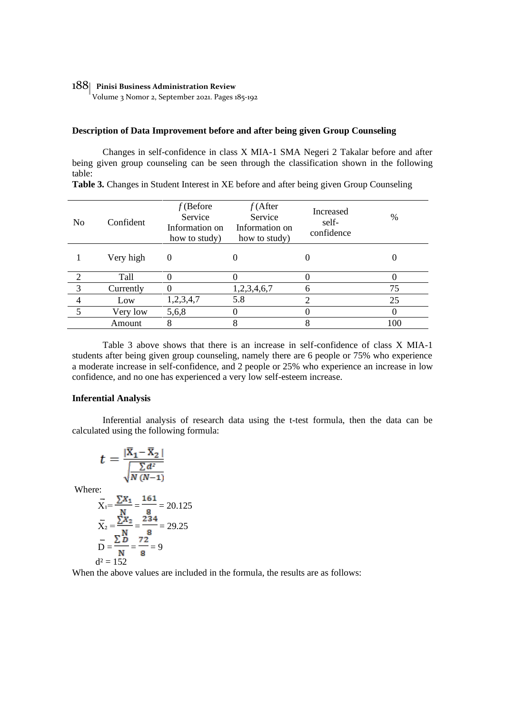Volume 3 Nomor 2, September 2021. Pages 185-192

## **Description of Data Improvement before and after being given Group Counseling**

Changes in self-confidence in class X MIA-1 SMA Negeri 2 Takalar before and after being given group counseling can be seen through the classification shown in the following table:

| No | Confident | $f$ (Before<br>Service<br>Information on<br>how to study) | $f$ (After<br>Service<br>Information on<br>how to study) | Increased<br>self-<br>confidence | $\%$ |
|----|-----------|-----------------------------------------------------------|----------------------------------------------------------|----------------------------------|------|
|    | Very high | $\theta$                                                  |                                                          |                                  |      |
| 2  | Tall      |                                                           |                                                          |                                  |      |
| 3  | Currently |                                                           | 1,2,3,4,6,7                                              | 6                                | 75   |
| 4  | Low       | 1,2,3,4,7                                                 | 5.8                                                      |                                  | 25   |
| 5  | Very low  | 5,6,8                                                     |                                                          |                                  |      |
|    | Amount    | 8                                                         | 8                                                        | 8                                | 100  |

**Table 3.** Changes in Student Interest in XE before and after being given Group Counseling

Table 3 above shows that there is an increase in self-confidence of class X MIA-1 students after being given group counseling, namely there are 6 people or 75% who experience a moderate increase in self-confidence, and 2 people or 25% who experience an increase in low confidence, and no one has experienced a very low self-esteem increase.

#### **Inferential Analysis**

Inferential analysis of research data using the t-test formula, then the data can be calculated using the following formula:

$$
t = \frac{|\overline{X}_1 - \overline{X}_2|}{\sqrt{\frac{\sum d^2}{N (N-1)}}}
$$
  
Where:  

$$
\overline{X}_1 = \frac{\sum X_1}{N} = \frac{161}{8} = 20.125
$$

$$
\overline{X}_2 = \frac{\sum X_2}{N} = \frac{234}{8} = 29.25
$$

$$
\overline{D} = \frac{\Sigma D}{N} = \frac{72}{8} = 9
$$
  

$$
d^2 = 152
$$

When the above values are included in the formula, the results are as follows: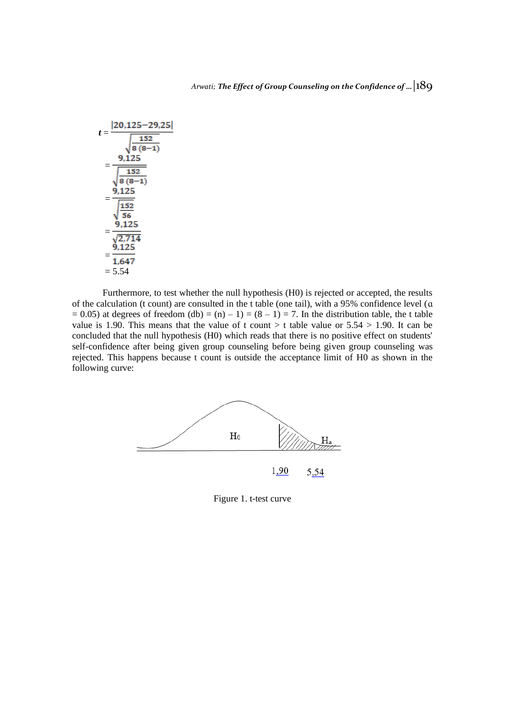$$
t = \frac{|20,125-29,25|}{\sqrt{\frac{152}{8(8-1)}}}
$$

$$
= \frac{9,125}{\sqrt{\frac{152}{8(8-1)}}}
$$

$$
= \frac{9,125}{\sqrt{\frac{152}{56}}}
$$

$$
= \frac{9,125}{\sqrt{\frac{2,714}{2,714}}}
$$

$$
= \frac{9,125}{1,647}
$$

$$
= 5.54
$$

Furthermore, to test whether the null hypothesis (H0) is rejected or accepted, the results of the calculation (t count) are consulted in the t table (one tail), with a 95% confidence level (ɑ  $= 0.05$ ) at degrees of freedom (db) = (n) - 1) = (8 - 1) = 7. In the distribution table, the t table value is 1.90. This means that the value of t count  $>$  t table value or 5.54  $>$  1.90. It can be concluded that the null hypothesis (H0) which reads that there is no positive effect on students' self-confidence after being given group counseling before being given group counseling was rejected. This happens because t count is outside the acceptance limit of H0 as shown in the following curve:



Figure 1. t-test curve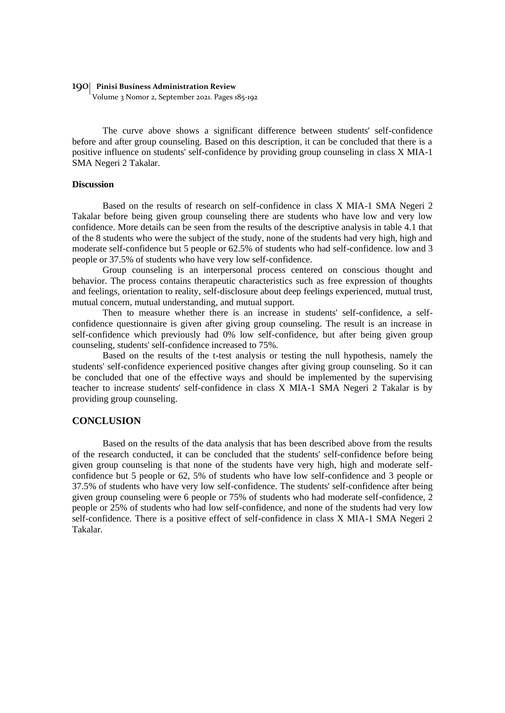Volume 3 Nomor 2, September 2021. Pages 185-192

The curve above shows a significant difference between students' self-confidence before and after group counseling. Based on this description, it can be concluded that there is a positive influence on students' self-confidence by providing group counseling in class X MIA-1 SMA Negeri 2 Takalar.

# **Discussion**

Based on the results of research on self-confidence in class X MIA-1 SMA Negeri 2 Takalar before being given group counseling there are students who have low and very low confidence. More details can be seen from the results of the descriptive analysis in table 4.1 that of the 8 students who were the subject of the study, none of the students had very high, high and moderate self-confidence but 5 people or 62.5% of students who had self-confidence. low and 3 people or 37.5% of students who have very low self-confidence.

Group counseling is an interpersonal process centered on conscious thought and behavior. The process contains therapeutic characteristics such as free expression of thoughts and feelings, orientation to reality, self-disclosure about deep feelings experienced, mutual trust, mutual concern, mutual understanding, and mutual support.

Then to measure whether there is an increase in students' self-confidence, a selfconfidence questionnaire is given after giving group counseling. The result is an increase in self-confidence which previously had 0% low self-confidence, but after being given group counseling, students' self-confidence increased to 75%.

Based on the results of the t-test analysis or testing the null hypothesis, namely the students' self-confidence experienced positive changes after giving group counseling. So it can be concluded that one of the effective ways and should be implemented by the supervising teacher to increase students' self-confidence in class X MIA-1 SMA Negeri 2 Takalar is by providing group counseling.

#### **CONCLUSION**

Based on the results of the data analysis that has been described above from the results of the research conducted, it can be concluded that the students' self-confidence before being given group counseling is that none of the students have very high, high and moderate selfconfidence but 5 people or 62, 5% of students who have low self-confidence and 3 people or 37.5% of students who have very low self-confidence. The students' self-confidence after being given group counseling were 6 people or 75% of students who had moderate self-confidence, 2 people or 25% of students who had low self-confidence, and none of the students had very low self-confidence. There is a positive effect of self-confidence in class X MIA-1 SMA Negeri 2 Takalar.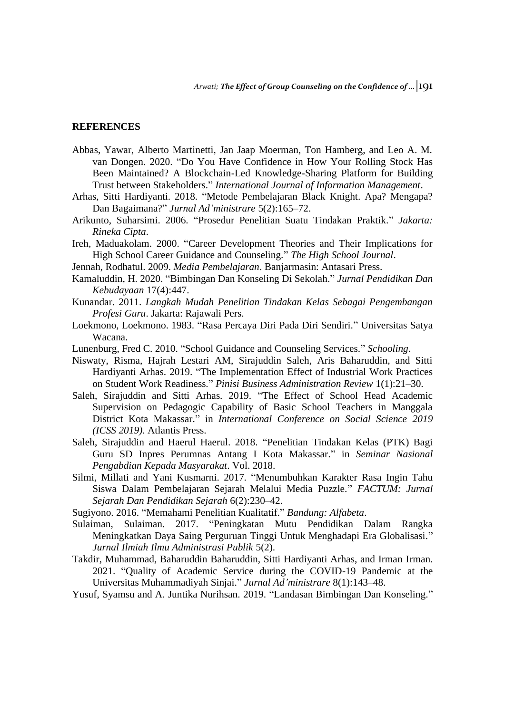# **REFERENCES**

- Abbas, Yawar, Alberto Martinetti, Jan Jaap Moerman, Ton Hamberg, and Leo A. M. van Dongen. 2020. "Do You Have Confidence in How Your Rolling Stock Has Been Maintained? A Blockchain-Led Knowledge-Sharing Platform for Building Trust between Stakeholders." *International Journal of Information Management*.
- Arhas, Sitti Hardiyanti. 2018. "Metode Pembelajaran Black Knight. Apa? Mengapa? Dan Bagaimana?" *Jurnal Ad'ministrare* 5(2):165–72.
- Arikunto, Suharsimi. 2006. "Prosedur Penelitian Suatu Tindakan Praktik." *Jakarta: Rineka Cipta*.
- Ireh, Maduakolam. 2000. "Career Development Theories and Their Implications for High School Career Guidance and Counseling." *The High School Journal*.
- Jennah, Rodhatul. 2009. *Media Pembelajaran*. Banjarmasin: Antasari Press.
- Kamaluddin, H. 2020. "Bimbingan Dan Konseling Di Sekolah." *Jurnal Pendidikan Dan Kebudayaan* 17(4):447.
- Kunandar. 2011. *Langkah Mudah Penelitian Tindakan Kelas Sebagai Pengembangan Profesi Guru*. Jakarta: Rajawali Pers.
- Loekmono, Loekmono. 1983. "Rasa Percaya Diri Pada Diri Sendiri." Universitas Satya Wacana.
- Lunenburg, Fred C. 2010. "School Guidance and Counseling Services." *Schooling*.
- Niswaty, Risma, Hajrah Lestari AM, Sirajuddin Saleh, Aris Baharuddin, and Sitti Hardiyanti Arhas. 2019. "The Implementation Effect of Industrial Work Practices on Student Work Readiness." *Pinisi Business Administration Review* 1(1):21–30.
- Saleh, Sirajuddin and Sitti Arhas. 2019. "The Effect of School Head Academic Supervision on Pedagogic Capability of Basic School Teachers in Manggala District Kota Makassar." in *International Conference on Social Science 2019 (ICSS 2019)*. Atlantis Press.
- Saleh, Sirajuddin and Haerul Haerul. 2018. "Penelitian Tindakan Kelas (PTK) Bagi Guru SD Inpres Perumnas Antang I Kota Makassar." in *Seminar Nasional Pengabdian Kepada Masyarakat*. Vol. 2018.
- Silmi, Millati and Yani Kusmarni. 2017. "Menumbuhkan Karakter Rasa Ingin Tahu Siswa Dalam Pembelajaran Sejarah Melalui Media Puzzle." *FACTUM: Jurnal Sejarah Dan Pendidikan Sejarah* 6(2):230–42.
- Sugiyono. 2016. "Memahami Penelitian Kualitatif." *Bandung: Alfabeta*.
- Sulaiman, Sulaiman. 2017. "Peningkatan Mutu Pendidikan Dalam Rangka Meningkatkan Daya Saing Perguruan Tinggi Untuk Menghadapi Era Globalisasi." *Jurnal Ilmiah Ilmu Administrasi Publik* 5(2).
- Takdir, Muhammad, Baharuddin Baharuddin, Sitti Hardiyanti Arhas, and Irman Irman. 2021. "Quality of Academic Service during the COVID-19 Pandemic at the Universitas Muhammadiyah Sinjai." *Jurnal Ad'ministrare* 8(1):143–48.
- Yusuf, Syamsu and A. Juntika Nurihsan. 2019. "Landasan Bimbingan Dan Konseling."